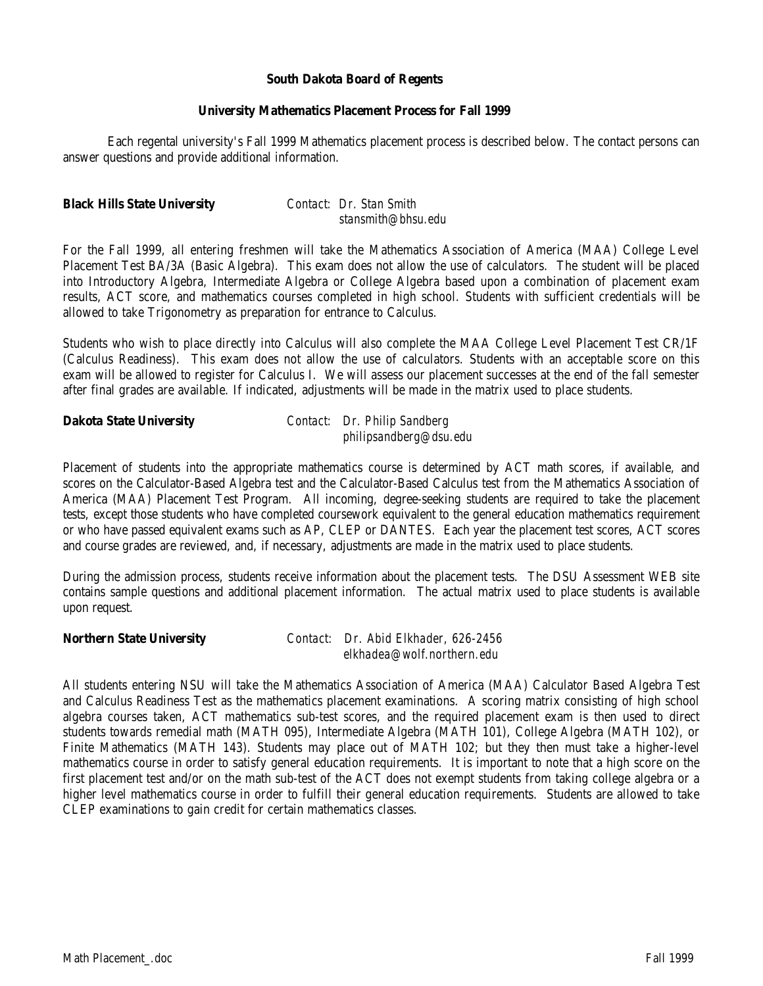### **South Dakota Board of Regents**

### **University Mathematics Placement Process for Fall 1999**

Each regental university's Fall 1999 Mathematics placement process is described below. The contact persons can answer questions and provide additional information.

### **Black Hills State University** *Contact: Dr. Stan Smith*

 *stansmith@bhsu.edu*

For the Fall 1999, all entering freshmen will take the Mathematics Association of America (MAA) College Level Placement Test BA/3A (Basic Algebra). This exam does not allow the use of calculators. The student will be placed into Introductory Algebra, Intermediate Algebra or College Algebra based upon a combination of placement exam results, ACT score, and mathematics courses completed in high school. Students with sufficient credentials will be allowed to take Trigonometry as preparation for entrance to Calculus.

Students who wish to place directly into Calculus will also complete the MAA College Level Placement Test CR/1F (Calculus Readiness). This exam does not allow the use of calculators. Students with an acceptable score on this exam will be allowed to register for Calculus I. We will assess our placement successes at the end of the fall semester after final grades are available. If indicated, adjustments will be made in the matrix used to place students.

## **Dakota State University** *Contact: Dr. Philip Sandberg philipsandberg@dsu.edu*

Placement of students into the appropriate mathematics course is determined by ACT math scores, if available, and scores on the Calculator-Based Algebra test and the Calculator-Based Calculus test from the Mathematics Association of America (MAA) Placement Test Program. All incoming, degree-seeking students are required to take the placement tests, except those students who have completed coursework equivalent to the general education mathematics requirement or who have passed equivalent exams such as AP, CLEP or DANTES. Each year the placement test scores, ACT scores and course grades are reviewed, and, if necessary, adjustments are made in the matrix used to place students.

During the admission process, students receive information about the placement tests. The DSU Assessment WEB site contains sample questions and additional placement information. The actual matrix used to place students is available upon request.

**Northern State University** *Contact: Dr. Abid Elkhader, 626-2456 elkhadea@wolf.northern.edu*

All students entering NSU will take the Mathematics Association of America (MAA) Calculator Based Algebra Test and Calculus Readiness Test as the mathematics placement examinations. A scoring matrix consisting of high school algebra courses taken, ACT mathematics sub-test scores, and the required placement exam is then used to direct students towards remedial math (MATH 095), Intermediate Algebra (MATH 101), College Algebra (MATH 102), or Finite Mathematics (MATH 143). Students may place out of MATH 102; but they then must take a higher-level mathematics course in order to satisfy general education requirements. It is important to note that a high score on the first placement test and/or on the math sub-test of the ACT does not exempt students from taking college algebra or a higher level mathematics course in order to fulfill their general education requirements. Students are allowed to take CLEP examinations to gain credit for certain mathematics classes.